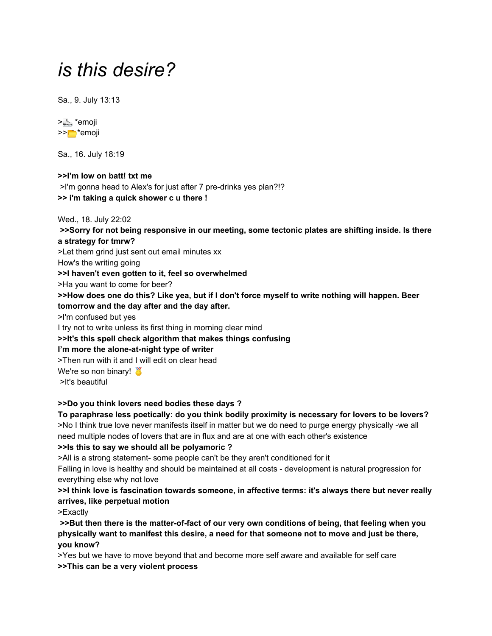# *is this desire?*

Sa., 9. July 13:13



Sa., 16. July 18:19

**>>I'm low on batt! txt me** >I'm gonna head to Alex's for just after 7 pre-drinks yes plan?!? **>> i'm taking a quick shower c u there !**

Wed., 18. July 22:02

**>>Sorry for not being responsive in our meeting, some tectonic plates are shifting inside. Is there a strategy for tmrw?**

>Let them grind just sent out email minutes xx

How's the writing going

**>>I haven't even gotten to it, feel so overwhelmed**

>Ha you want to come for beer?

>>How does one do this? Like yea, but if I don't force myself to write nothing will happen. Beer

## **tomorrow and the day after and the day after.**

>I'm confused but yes

I try not to write unless its first thing in morning clear mind

## **>>It's this spell check algorithm that makes things confusing**

**I'm more the alone-at-night type of writer**

>Then run with it and I will edit on clear head

We're so non binary!

>It's beautiful

## **>>Do you think lovers need bodies these days ?**

**To paraphrase less poetically: do you think bodily proximity is necessary for lovers to be lovers?** >No I think true love never manifests itself in matter but we do need to purge energy physically -we all need multiple nodes of lovers that are in flux and are at one with each other's existence

## **>>Is this to say we should all be polyamoric ?**

>All is a strong statement- some people can't be they aren't conditioned for it

Falling in love is healthy and should be maintained at all costs - development is natural progression for everything else why not love

**>>I think love is fascination towards someone, in affective terms: it's always there but never really arrives, like perpetual motion**

>Exactly

**>>But then there is the matter-of-fact of our very own conditions of being, that feeling when you physically want to manifest this desire, a need for that someone not to move and just be there, you know?**

>Yes but we have to move beyond that and become more self aware and available for self care **>>This can be a very violent process**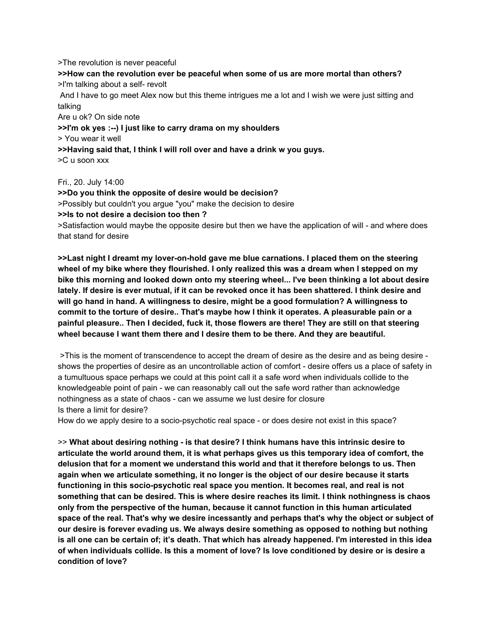>The revolution is never peaceful **>>How can the revolution ever be peaceful when some of us are more mortal than others?** >I'm talking about a self- revolt And I have to go meet Alex now but this theme intrigues me a lot and I wish we were just sitting and talking Are u ok? On side note **>>I'm ok yes :--) I just like to carry drama on my shoulders** > You wear it well **>>Having said that, I think I will roll over and have a drink w you guys.** >C u soon xxx

Fri., 20. July 14:00

**>>Do you think the opposite of desire would be decision?** >Possibly but couldn't you argue "you" make the decision to desire **>>Is to not desire a decision too then ?** >Satisfaction would maybe the opposite desire but then we have the application of will - and where does that stand for desire

**>>Last night I dreamt my lover-on-hold gave me blue carnations. I placed them on the steering** wheel of my bike where they flourished. I only realized this was a dream when I stepped on my **bike this morning and looked down onto my steering wheel... I've been thinking a lot about desire** lately. If desire is ever mutual, if it can be revoked once it has been shattered. I think desire and **will go hand in hand. A willingness to desire, might be a good formulation? A willingness to commit to the torture of desire.. That's maybe how I think it operates. A pleasurable pain or a painful pleasure.. Then I decided, fuck it, those flowers are there! They are still on that steering wheel because I want them there and I desire them to be there. And they are beautiful.**

>This is the moment of transcendence to accept the dream of desire as the desire and as being desire shows the properties of desire as an uncontrollable action of comfort - desire offers us a place of safety in a tumultuous space perhaps we could at this point call it a safe word when individuals collide to the knowledgeable point of pain - we can reasonably call out the safe word rather than acknowledge nothingness as a state of chaos - can we assume we lust desire for closure Is there a limit for desire?

How do we apply desire to a socio-psychotic real space - or does desire not exist in this space?

>> **What about desiring nothing - is that desire? I think humans have this intrinsic desire to articulate the world around them, it is what perhaps gives us this temporary idea of comfort, the delusion that for a moment we understand this world and that it therefore belongs to us. Then again when we articulate something, it no longer is the object of our desire because it starts functioning in this socio-psychotic real space you mention. It becomes real, and real is not something that can be desired. This is where desire reaches its limit. I think nothingness is chaos only from the perspective of the human, because it cannot function in this human articulated** space of the real. That's why we desire incessantly and perhaps that's why the object or subject of **our desire is forever evading us. We always desire something as opposed to nothing but nothing** is all one can be certain of; it's death. That which has already happened. I'm interested in this idea of when individuals collide. Is this a moment of love? Is love conditioned by desire or is desire a **condition of love?**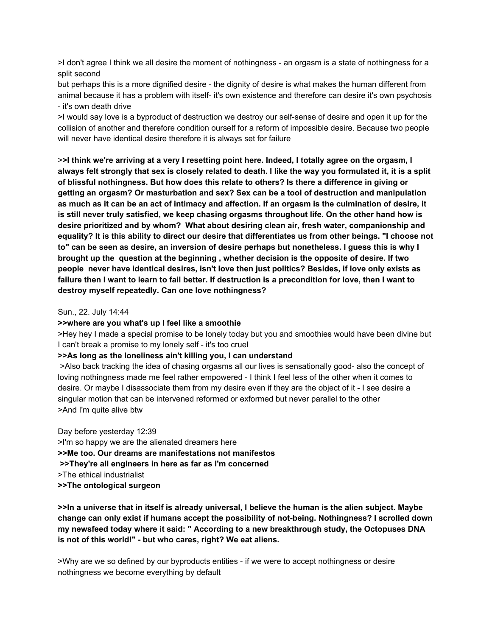>I don't agree I think we all desire the moment of nothingness - an orgasm is a state of nothingness for a split second

but perhaps this is a more dignified desire - the dignity of desire is what makes the human different from animal because it has a problem with itself- it's own existence and therefore can desire it's own psychosis - it's own death drive

>I would say love is a byproduct of destruction we destroy our self-sense of desire and open it up for the collision of another and therefore condition ourself for a reform of impossible desire. Because two people will never have identical desire therefore it is always set for failure

>>I think we're arriving at a very I resetting point here. Indeed, I totally agree on the orgasm, I always felt strongly that sex is closely related to death. I like the way you formulated it, it is a split **of blissful nothingness. But how does this relate to others? Is there a difference in giving or getting an orgasm? Or masturbation and sex? Sex can be a tool of destruction and manipulation** as much as it can be an act of intimacy and affection. If an orgasm is the culmination of desire, it **is still never truly satisfied, we keep chasing orgasms throughout life. On the other hand how is desire prioritized and by whom? What about desiring clean air, fresh water, companionship and** equality? It is this ability to direct our desire that differentiates us from other beings. "I choose not to" can be seen as desire, an inversion of desire perhaps but nonetheless. I guess this is why I **brought up the question at the beginning , whether decision is the opposite of desire. If two people never have identical desires, isn't love then just politics? Besides, if love only exists as** failure then I want to learn to fail better. If destruction is a precondition for love, then I want to **destroy myself repeatedly. Can one love nothingness?**

### Sun., 22. July 14:44

#### **>>where are you what's up I feel like a smoothie**

>Hey hey I made a special promise to be lonely today but you and smoothies would have been divine but I can't break a promise to my lonely self - it's too cruel

## **>>As long as the loneliness ain't killing you, I can understand**

>Also back tracking the idea of chasing orgasms all our lives is sensationally good- also the concept of loving nothingness made me feel rather empowered - I think I feel less of the other when it comes to desire. Or maybe I disassociate them from my desire even if they are the object of it - I see desire a singular motion that can be intervened reformed or exformed but never parallel to the other >And I'm quite alive btw

Day before yesterday 12:39 >I'm so happy we are the alienated dreamers here **>>Me too. Our dreams are manifestations not manifestos >>They're all engineers in here as far as I'm concerned** >The ethical industrialist **>>The ontological surgeon**

>>In a universe that in itself is already universal, I believe the human is the alien subject. Maybe **change can only exist if humans accept the possibility of not-being. Nothingness? I scrolled down my newsfeed today where it said: " According to a new breakthrough study, the Octopuses DNA is not of this world!" - but who cares, right? We eat aliens.**

>Why are we so defined by our byproducts entities - if we were to accept nothingness or desire nothingness we become everything by default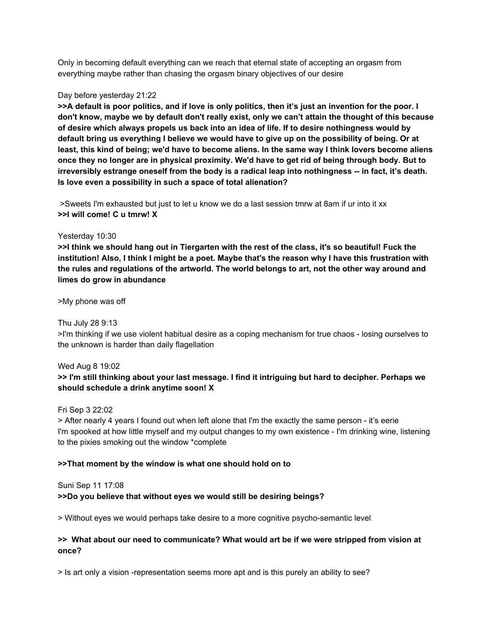Only in becoming default everything can we reach that eternal state of accepting an orgasm from everything maybe rather than chasing the orgasm binary objectives of our desire

#### Day before yesterday 21:22

>>A default is poor politics, and if love is only politics, then it's just an invention for the poor. I don't know, maybe we by default don't really exist, only we can't attain the thought of this because **of desire which always propels us back into an idea of life. If to desire nothingness would by** default bring us everything I believe we would have to give up on the possibility of being. Or at least, this kind of being; we'd have to become aliens. In the same way I think lovers become aliens once they no longer are in physical proximity. We'd have to get rid of being through body. But to **irreversibly estrange oneself from the body is a radical leap into nothingness -- in fact, it's death. Is love even a possibility in such a space of total alienation?**

>Sweets I'm exhausted but just to let u know we do a last session tmrw at 8am if ur into it xx **>>I will come! C u tmrw! X**

### Yesterday 10:30

>>I think we should hang out in Tiergarten with the rest of the class, it's so beautiful! Fuck the institution! Also, I think I might be a poet. Maybe that's the reason why I have this frustration with **the rules and regulations of the artworld. The world belongs to art, not the other way around and limes do grow in abundance**

>My phone was off

Thu July 28 9:13

>I'm thinking if we use violent habitual desire as a coping mechanism for true chaos - losing ourselves to the unknown is harder than daily flagellation

Wed Aug 8 19:02 >> I'm still thinking about your last message. I find it intriguing but hard to decipher. Perhaps we **should schedule a drink anytime soon! X**

Fri Sep 3 22:02

> After nearly 4 years I found out when left alone that I'm the exactly the same person - it's eerie I'm spooked at how little myself and my output changes to my own existence - I'm drinking wine, listening to the pixies smoking out the window \*complete

## **>>That moment by the window is what one should hold on to**

#### Suni Sep 11 17:08

## **>>Do you believe that without eyes we would still be desiring beings?**

> Without eyes we would perhaps take desire to a more cognitive psycho-semantic level

## **>> What about our need to communicate? What would art be if we were stripped from vision at once?**

> Is art only a vision -representation seems more apt and is this purely an ability to see?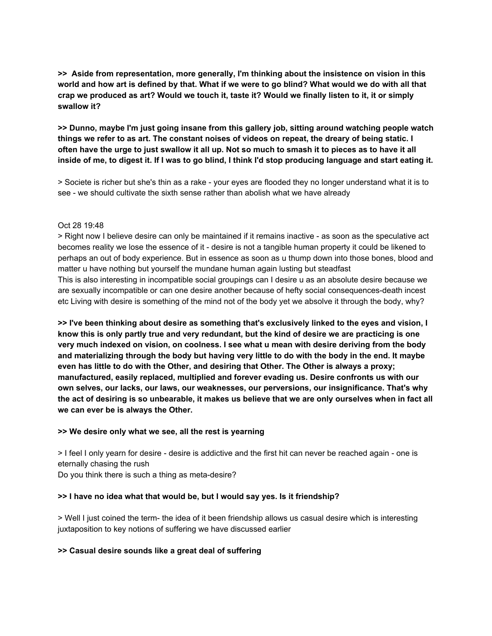**>> Aside from representation, more generally, I'm thinking about the insistence on vision in this** world and how art is defined by that. What if we were to go blind? What would we do with all that crap we produced as art? Would we touch it, taste it? Would we finally listen to it, it or simply **swallow it?**

**>> Dunno, maybe I'm just going insane from this gallery job, sitting around watching people watch** things we refer to as art. The constant noises of videos on repeat, the dreary of being static. I often have the urge to just swallow it all up. Not so much to smash it to pieces as to have it all inside of me, to digest it. If I was to go blind, I think I'd stop producing language and start eating it.

> Societe is richer but she's thin as a rake - your eyes are flooded they no longer understand what it is to see - we should cultivate the sixth sense rather than abolish what we have already

#### Oct 28 19:48

> Right now I believe desire can only be maintained if it remains inactive - as soon as the speculative act becomes reality we lose the essence of it - desire is not a tangible human property it could be likened to perhaps an out of body experience. But in essence as soon as u thump down into those bones, blood and matter u have nothing but yourself the mundane human again lusting but steadfast This is also interesting in incompatible social groupings can I desire u as an absolute desire because we are sexually incompatible or can one desire another because of hefty social consequences-death incest etc Living with desire is something of the mind not of the body yet we absolve it through the body, why?

**>> I've been thinking about desire as something that's exclusively linked to the eyes and vision, I** know this is only partly true and very redundant, but the kind of desire we are practicing is one **very much indexed on vision, on coolness. I see what u mean with desire deriving from the body** and materializing through the body but having very little to do with the body in the end. It maybe **even has little to do with the Other, and desiring that Other. The Other is always a proxy; manufactured, easily replaced, multiplied and forever evading us. Desire confronts us with our own selves, our lacks, our laws, our weaknesses, our perversions, our insignificance. That's why** the act of desiring is so unbearable, it makes us believe that we are only ourselves when in fact all **we can ever be is always the Other.**

#### **>> We desire only what we see, all the rest is yearning**

> I feel I only yearn for desire - desire is addictive and the first hit can never be reached again - one is eternally chasing the rush Do you think there is such a thing as meta-desire?

#### **>> I have no idea what that would be, but I would say yes. Is it friendship?**

> Well I just coined the term- the idea of it been friendship allows us casual desire which is interesting juxtaposition to key notions of suffering we have discussed earlier

#### **>> Casual desire sounds like a great deal of suffering**